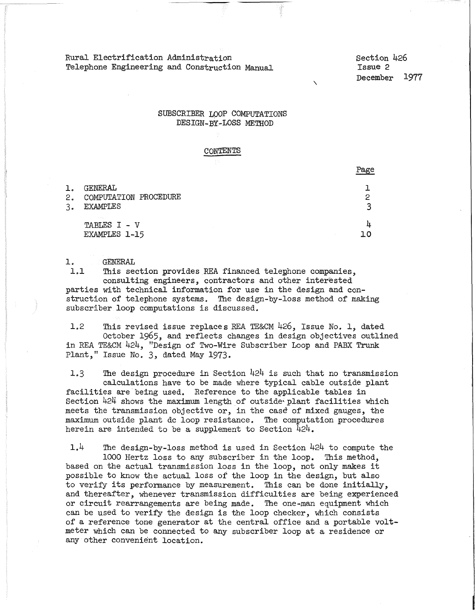Rural Electrification Administration Telephone Engineering and Construction Manual Section 426 Issue 2 December 1977

 $\mathbf{r}$ 

## SUBSCRIBER LOOP COMPUTATIONS DESIGN-BY-LOSS METHOD

#### CONTENTS

|                |                                                     | rage   |
|----------------|-----------------------------------------------------|--------|
| ı.<br>2.<br>3. | GENERAL<br>COMPUTATION PROCEDURE<br><b>EXAMPLES</b> | ≏<br>2 |
|                | <b>Simple</b><br>TABLES I - V<br>EXAMPLES 1-15      | Щ      |

GENERAL  $\frac{1}{1.1}$ 

This section provides REA financed telephone companies, consulting engineers, contractors and other interested parties with technical information for use in the design and construction of telephone systems. The design-by-loss method of making subscriber loop computations is discussed.

1.2 This revised issue replaces REA TE&CM 426, Issue No. l, dated October 1965, and reflects changes in design objectives outlined in REA TE&CM424, "Design of Two-Wire Subscriber Loop and PABX Trunk Plant," Issue No. 3, dated May 1973.

1.3 The design procedure in Section 424 is such that no transmission calculations have to be made where typical cable outside plant facilities are being used. Reference to the applicable tables in Section 424 shows the maximum length of outside plant facilities which meets the transmission objective or, in the case of mixed gauges, the maximum outside plant de loop resistance. The computation procedures herein are intended to be a supplement to Section  $\bar{4}24$ .

1.4 The design-by-loss method is used in Section 424 to compute the 1000 Hertz loss to any subscriber in the loop. This method, based on the actual transmission loss in the loop, not only makes it possible to know the actual loss of the loop in the design, but also to verify its performance by measurement. This can be done initially, and thereafter, whenever transmission difficulties are being experienced or circuit rearrangements are being made. The one-man equipment which can be used to verify the design is the loop checker, which consists of a reference tone generator at the central office and a portable voltmeter which can be connected to any subscriber loop at a residence or any other convenient location.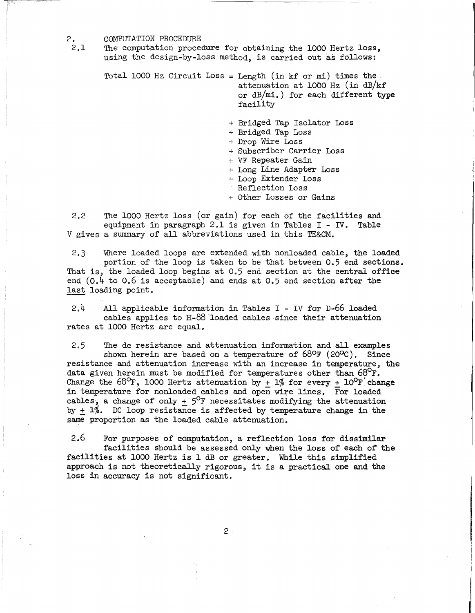- 2. COMPUTATION PROCEDURE<br>2.1 The computation proced
	- The computation procedure for obtaining the 1000 Hertz loss, using the design-by-loss method, is carried out as follows:

Total 1000 Hz Circuit Loss= Length (in kf or mi) times the attenuation at 1000 Hz (in  $dB/kf$ or dB/mi.) for each different type facility

- + Bridged Tap Isolator Loss
- + Bridged Tap Loss
- + Drop Wire Loss
- + Subscriber Carrier Loss
- + VF Repeater Gain
- + Long Line Adapter Loss<br>+ Loop Extender Loss
- 
- Reflection Loss
- + Other Losses or Gains

2.2 The 1000 Hertz loss (or gain) for each of the facilities and equipment in paragraph 2.1 is given in Tables  $I - IV$ . Table V gives a summary of all abbreviations used in this TE&CM.

2.3 Where loaded loops are extended with nonloaded cable, the loaded portion of the loop is taken to be that between 0.5 end sections. That is, the loaded loop begins at 0.5 end section at the central office end  $(0.4$  to  $0.6$  is acceptable) and ends at  $0.5$  end section after the last loading point.

2.4 All applicable information in Tables I - IV for D-66 loaded cables applies to H-88 loaded cables since their attenuation rates at 1000 Hertz are equal.

2.5 The de resistance and attenuation information and all examples shown herein are based on a temperature of  $68^{\circ}$ F (20 $^{\circ}$ C). Since resistance and attenuation increase with an increase in temperature, the data given herein must be modified for temperatures other than  $68^{\circ}$ F. Change the  $68^{\circ}$ F, 1000 Hertz attenuation by + 1% for every + 10<sup>o</sup>F'change in temperature for nonloaded cables and open wire lines. For loaded cables, a change of only +  $5^{\circ}$ F necessitates modifying the attenuation by  $+ 1\%$ . DC loop resistance is affected by temperature change in the same proportion as the loaded cable attenuation.

2.6 For purposes of computation, a reflection loss for dissimilar facilities should be assessed only when the loss of each of the facilities at 1000 Hertz is 1 dB or greater. While this simplified approach is not theoretically rigorous, it is a practical one and the loss in accuracy is not significant.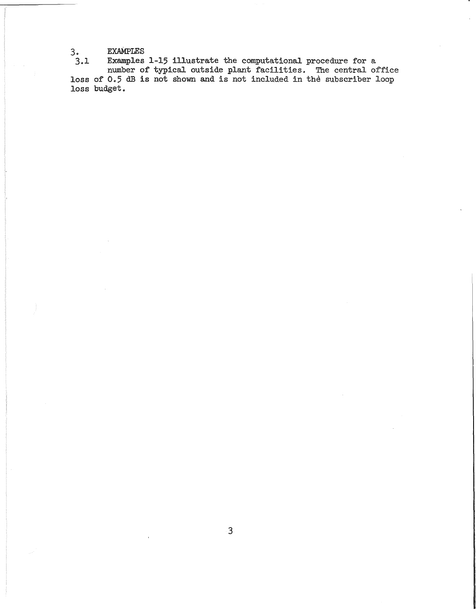3. EXAMPLES

3.1 Examples 1-15 illustrate the computational procedure for a number of typical outside plant facilities. The central office loss of 0.5 dB is not shown and is not included in the subscriber loop loss budget.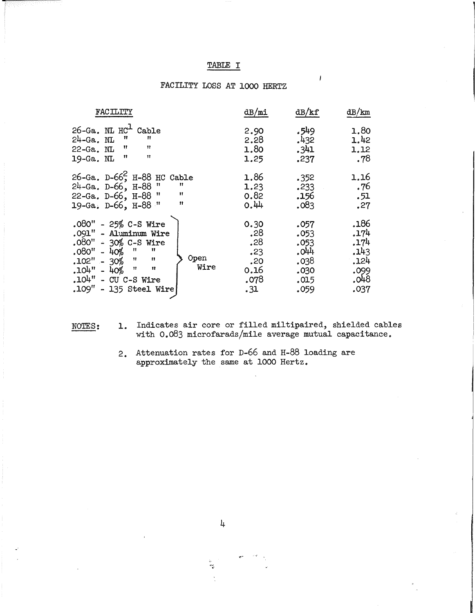# TABLE I

 $\overline{1}$ 

# FACILITY LOSS AT 1000 HERTZ

| FACILITY                                                                                                                                                                                                                  | dB/ml                                                   | dB/kf                                                        | dB/km                                                        |
|---------------------------------------------------------------------------------------------------------------------------------------------------------------------------------------------------------------------------|---------------------------------------------------------|--------------------------------------------------------------|--------------------------------------------------------------|
| $26 - Ga$ . NL $HC1$<br>Cable<br>11<br>$24-Ga$ . NL<br>11<br>11<br>$\mathbf{H}$<br>$22-Ga$ . NL<br>11<br>n<br>19-Ga. NL                                                                                                   | 2.90<br>2.28<br>1.80<br>1.25                            | 549ء<br>.432<br>.341<br>.237                                 | 1.80<br>1.42<br>1.12<br>.78                                  |
| 26-Ga. D-66 <sup>2</sup> , H-88 HC Cable<br>$24 - Ga. D - 66$ , $H - 88$ "<br>-11<br>11<br>22-Ga. D-66, H-88 "<br>11<br>19-Ga. D-66, H-88 "                                                                               | 1.86<br>1.23<br>0.82<br>0.44                            | .352<br>.233<br>.156<br>.083                                 | 1.16<br>. 76<br>.51<br>.27                                   |
| $.080" - 25% C-S Wire$<br>.091" - Aluminum Wire<br>$.080" - 30%$ C-S Wire<br>11<br>$.080" - 40\%$ "<br>Open<br>$.102" - 30%$ "<br>11<br>Wire<br>$.104" - 40\%$ "<br>11<br>$.104"$ - CU C-S Wire<br>.109" - 135 Steel Wire | 0.30<br>.28<br>.28<br>.23<br>.20<br>0.16<br>.078<br>.31 | .057<br>.053<br>.053<br>.044<br>.038<br>.030<br>.015<br>.059 | .186<br>.174<br>.174<br>.143<br>,124<br>.099<br>.048<br>.037 |

NOTES: 1. Indicates air core or filled miltipaired, shielded cables with 0.083 microfarads/mile average mutual capacitance.

> 2. Attenuation rates for D-66 and H-88 loading are approximately the same at 1000 Hertz.

্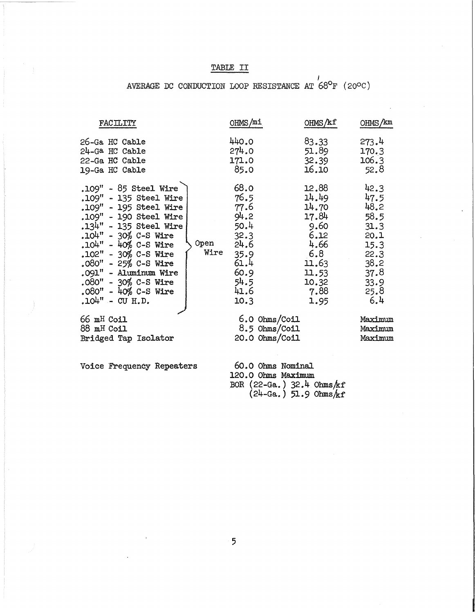# TABLE II

# AVERAGE DC CONDUCTION LOOP RESISTANCE AT  $68^{\circ}$ F (20°C)

| FACILITY                                                                                                                                                                                                                                                                                                                              | OHMS/mi                                                                                                                     | OHMS/kf                                                                                                    | OHMS/km                                                                                             |
|---------------------------------------------------------------------------------------------------------------------------------------------------------------------------------------------------------------------------------------------------------------------------------------------------------------------------------------|-----------------------------------------------------------------------------------------------------------------------------|------------------------------------------------------------------------------------------------------------|-----------------------------------------------------------------------------------------------------|
| 26-Ga HC Cable<br>24-Ga HC Cable<br>22-Ga HC Cable<br>19-Ga HC Cable                                                                                                                                                                                                                                                                  | 440.0<br>274.0<br>171.0<br>85.0                                                                                             | 83.33<br>51.89<br>32.39<br>16.10                                                                           | 273.4<br>170.3<br>106.3<br>52.8                                                                     |
| .109" - 85 Steel Wire<br>.109" - 135 Steel Wire<br>.109" - 195 Steel Wire<br>.109" - 190 Steel Wire<br>.134" - 135 Steel Wire<br>$.104" - 30%$ C-S Wire<br>$.104" - 40\%$ C-S Wire<br>.102" - 30% C-S Wire<br>$.080" - 25% C-S Wire$<br>.091" - Aluminum Wire<br>.080" - 30% C-S Wire<br>$.080" - 40\%$ C-S Wire<br>$.104" - CU H.D.$ | 68.0<br>76.5<br>77.6<br>94.2<br>50.4<br>32.3<br><b>Open</b><br>24.6<br>Wire<br>35.9<br>61.4<br>60.9<br>54.5<br>41.6<br>10.3 | 12.88<br>14.49<br>14.70<br>17.84<br>9.60<br>6.12<br>4.66<br>6.8<br>11.63<br>11.53<br>10.32<br>7.88<br>1.95 | 42.3<br>47.5<br>48.2<br>58.5<br>31.3<br>20.1<br>15.3<br>22.3<br>38.2<br>37.8<br>33.9<br>25.8<br>6,4 |
| 66 mH Coil<br>88 mH Coil<br>Bridged Tap Isolator                                                                                                                                                                                                                                                                                      |                                                                                                                             | $6.0 \Omega$ Ohms/Coil<br>8.5 Ohms/Coil<br>20.0 Ohms/Coil                                                  | Maximum<br>Maximum<br>Maximum                                                                       |
|                                                                                                                                                                                                                                                                                                                                       |                                                                                                                             |                                                                                                            |                                                                                                     |

Voice Frequency Repeaters

60.0 Ohms Nominal 120.0 Ohms Maximum BOR  $(22-Ga.)$   $32.4 \text{ Ohms/kf}$ <br> $(24-Ga.)$   $51.9 \text{ Ohms/kf}$ 

 $5<sup>5</sup>$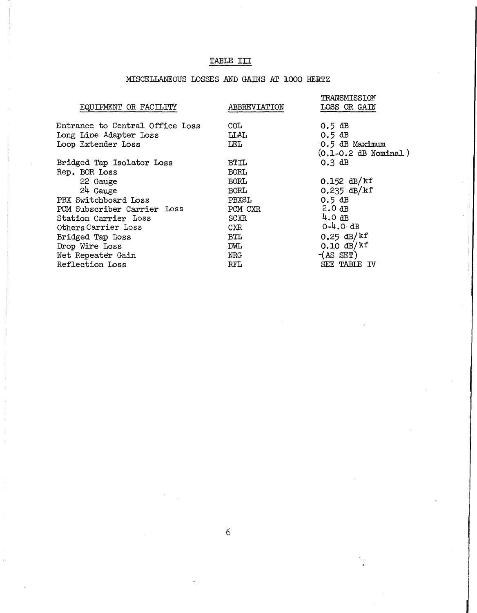# TABLE III

# MISCELLANEOUS LOSSES AND GAINS AT 1000 HERTZ

| ABBREVIATION | TRANSMISSION<br>LOSS OR GAIN |
|--------------|------------------------------|
| COL.         | $0.5$ dB                     |
| LLAL         | $0.5$ dB                     |
| <b>LEL</b>   | 0.5 dB Maximum               |
|              | $(0.1 - 0.2$ dB Nominal)     |
| BTIL         | $0.3$ dB                     |
| <b>BORL</b>  |                              |
| <b>BORL</b>  | $0.152$ dB/kf                |
| <b>BORL</b>  | $0.235$ dB/kf                |
| PBXSL        | $0.5$ dB                     |
| PCM CXR      | 2.0dB                        |
| SCXR         | 4.0dB                        |
| CXR.         | $0-4.0$ dB                   |
| BTL          | $0.25$ dB/kf                 |
| DWL          | $0.10 \text{ dB}/\text{k}$ f |
| NRG          | $-(AS SET)$                  |
| RFL          | SEE TABLE IV                 |
|              |                              |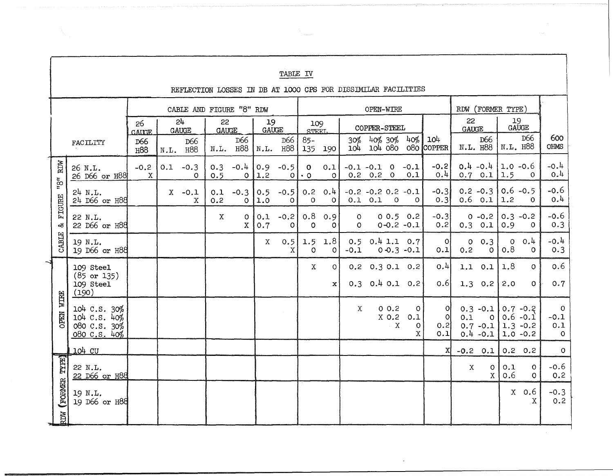|                                                                                    |                                                                                                  |                                                              |                                        |      |                          |            |                             |                                            | <b>TABLE IV</b>   |                           |                                             |                      |                   |                                  |                                                    |                               |                |                                                      |                              |                                                         |                                     |
|------------------------------------------------------------------------------------|--------------------------------------------------------------------------------------------------|--------------------------------------------------------------|----------------------------------------|------|--------------------------|------------|-----------------------------|--------------------------------------------|-------------------|---------------------------|---------------------------------------------|----------------------|-------------------|----------------------------------|----------------------------------------------------|-------------------------------|----------------|------------------------------------------------------|------------------------------|---------------------------------------------------------|-------------------------------------|
| REFLECTION LOSSES IN DB AT 1000 CPS FOR DISSIMILAR FACILITIES<br>RDW (FORMER TYPE) |                                                                                                  |                                                              |                                        |      |                          |            |                             |                                            |                   |                           |                                             |                      |                   |                                  |                                                    |                               |                |                                                      |                              |                                                         |                                     |
|                                                                                    | CABLE AND FIGURE "8" RDW<br>24<br>22<br>19<br>26<br><b>GAUGE</b><br><b>GAUGE</b><br><b>GAUGE</b> |                                                              |                                        |      |                          |            |                             | OPEN-WIRE<br>109<br>COPPER-STEEL<br>STEET. |                   |                           | 19<br>22<br>GAUGE<br>$\operatorname{GAUGE}$ |                      |                   |                                  |                                                    |                               |                |                                                      |                              |                                                         |                                     |
|                                                                                    |                                                                                                  | FACILITY                                                     | <b>GAIGE</b><br>D66<br>H <sub>88</sub> | N.L. | D66<br>H88               |            | D66<br>N.L. H88             | N.L.                                       | D66<br>н88        | $85 -$<br>135             | 190                                         | 30%                  | $40\%$ 30%        |                                  | 40%                                                | 104<br>104 104 080 080 COPPER |                | D66<br>N.L. H88                                      | N.L. H88                     | D66                                                     | 600<br>OHMS                         |
|                                                                                    | RDW                                                                                              | 26 N.L.<br>26 D66 or H88                                     | $-0.2$<br>$\mathbf x$                  |      | $0.1 - 0.3$<br>$\Omega$  | 0.3<br>0.5 | $-0.4$<br>$\circ$           | 0.9<br> 1,2                                | $-0.5$<br>ΟI      | $\mathbf{o}$<br>$\cdot$ 0 | 0.1<br>$\circ$                              | $-0.1 -0.1$ 0 $-0.1$ | $0.2 \t 0.2 \t 0$ |                                  | 0.1                                                | $-0.2$<br>0.4                 |                | $0.4 - 0.4$<br>$0.7 \ 0.1$                           | $1.0 - 0.6$<br>$ 1.5\rangle$ | $\Omega$                                                | $-0.4$<br>0.4                       |
|                                                                                    | ingu                                                                                             | $24$ N.L.<br>24 D66 or H88                                   |                                        |      | $X -0.1$<br>$\mathbf{x}$ | 0.1<br>0.2 | $-0.3$<br>$\Omega$          | 0.5<br>1.0                                 | $-0.5$<br>$\circ$ | $\Omega$                  | $0.2 \quad 0.4$<br>$\circ$                  | $-0.2 -0.2 0.2 -0.1$ | $0.1$ $0.1$       | $\overline{O}$                   | $\Omega$                                           | $-0.3$<br>0.3                 |                | $0.2 - 0.3$<br>$0.6$ 0.1                             | $0.6 - 0.5$<br>1.2           | $\Omega$                                                | $-0.6$<br>0.4                       |
|                                                                                    | FIGURE<br>ನ                                                                                      | 22 N.L.<br>22 D66 or H88                                     |                                        |      |                          | X          | $\mathsf{o}$<br>$\mathbf X$ | 0.1<br>0.7                                 | $-0.2$<br>$\circ$ | 0.8<br>$\circ$            | 0.9<br>$\circ$                              | $\circ$<br>$\circ$   |                   |                                  | 0.0.5 0.2<br>$0 - 0.2 - 0.1$                       | $-0.3$<br>0.2                 |                | $0 - 0.2$<br>$0.3$ $0.1$                             | $0.3 - 0.2$<br>0.9           | $\circ$                                                 | $-0.6$<br>0.3                       |
|                                                                                    | CABLE                                                                                            | 19 N.L.<br>19 D66 or H88                                     |                                        |      |                          |            |                             | X                                          | 0.5<br>X          | 1.5<br>$\Omega$           | 1.8<br>$\circ$                              | $-0.1$               |                   |                                  | $0.5$ $0.4$ 1.1 0.7<br>$0 - 0.3 - 0.1$             | Οl<br>0.1                     | $\circ$<br>0.2 | 0.3<br>$\circ$                                       | $\circ$<br>0.8               | 0.4<br>$\Omega$                                         | $-0.4$<br>0.3                       |
| <b>WITRE</b>                                                                       |                                                                                                  | 109 Steel<br>$(85 \text{ or } 135)$<br>109 Steel<br>(190)    |                                        |      |                          |            |                             |                                            |                   | $\mathbf X$               | $\overline{O}$<br>$\mathbf{x}$              |                      |                   |                                  | $0.2$ $0.3$ $0.1$ $0.2$<br>$0.3$ $0.4$ $0.1$ $0.2$ | 0.4<br>0.6                    | 1.1<br>1.3     | 0.1<br>0.2                                           | 1.8<br>2.0                   | $\circ$<br>$\Omega$                                     | 0.6<br>0.7                          |
|                                                                                    | <b>OPEN</b>                                                                                      | 104 C.S. 30%<br>104 C.S. 40%<br>080 C.S. 30%<br>080 C.S. 40% |                                        |      |                          |            |                             |                                            |                   |                           |                                             | X                    |                   | 0.0.2<br>$X$ 0.2<br>$\mathbf{X}$ | $\circ$<br>0.1<br>0<br>X                           | ΟI<br>$\Omega$<br>0.2<br>0.1  | 0.1            | $0.3 - 0.1$<br>$\circ$<br>$0.7 - 0.1$<br>$0.4 - 0.1$ |                              | $0.7 - 0.2$<br>$0.6 -0.1$<br>$1.3 - 0.2$<br>$1.0 - 0.2$ | $\circ$<br>$-0.1$<br>0.1<br>$\circ$ |
|                                                                                    |                                                                                                  | 104 CU                                                       |                                        |      |                          |            |                             |                                            |                   |                           |                                             |                      |                   |                                  |                                                    | XI                            | $-0.2$ 0.1     |                                                      |                              | $0.2 \quad 0.2$                                         | $\circ$                             |
|                                                                                    |                                                                                                  | 22 N.L.<br>22 D66 or H88                                     |                                        |      |                          |            |                             |                                            |                   |                           |                                             |                      |                   |                                  |                                                    |                               | X              | $\circ$<br>$\mathbf{X}$                              | 0.1<br>0.6                   | $\circ$<br>$\Omega$                                     | $-0.6$<br>0.2                       |
|                                                                                    | (FORMER TYPE)                                                                                    | 19 N.L.<br>19 D66 or H88                                     |                                        |      |                          |            |                             |                                            |                   |                           |                                             |                      |                   |                                  |                                                    |                               |                |                                                      | X                            | 0.6<br>$\mathbf x$                                      | $-0.3$<br>0.2                       |
|                                                                                    | <b>NGR</b>                                                                                       |                                                              |                                        |      |                          |            |                             |                                            |                   |                           |                                             |                      |                   |                                  |                                                    |                               |                |                                                      |                              |                                                         |                                     |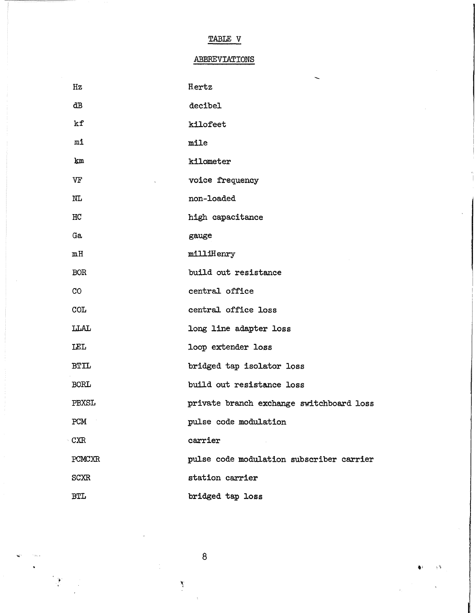TABLE V

# ABBREVIATIONS

| Hz          | Hertz                                    |
|-------------|------------------------------------------|
| dВ          | decibel                                  |
| kf          | kilofeet                                 |
| mi          | mile                                     |
| km          | kilometer                                |
| VF          | voice frequency                          |
| NL          | non-loaded                               |
| HC          | high capacitance                         |
| Ga          | gauge                                    |
| mH          | milliHenry                               |
| <b>BOR</b>  | build out resistance                     |
| CO          | central office                           |
| <b>COL</b>  | central office loss                      |
| <b>LLAL</b> | long line adapter loss                   |
| LEL         | loop extender loss                       |
| <b>BTIL</b> | bridged tap isolator loss                |
| <b>BORL</b> | build out resistance loss                |
| PBXSL       | private branch exchange switchboard loss |
| PCM         | pulse code modulation                    |
| <b>CXR</b>  | carrier                                  |
| PCMCXR      | pulse code modulation subscriber carrier |
| <b>SCXR</b> | station carrier                          |
| <b>BTL</b>  | bridged tap loss                         |

 $\bf 8$ 

 $\sum_{i=1}^{N}$ 

 $\bullet$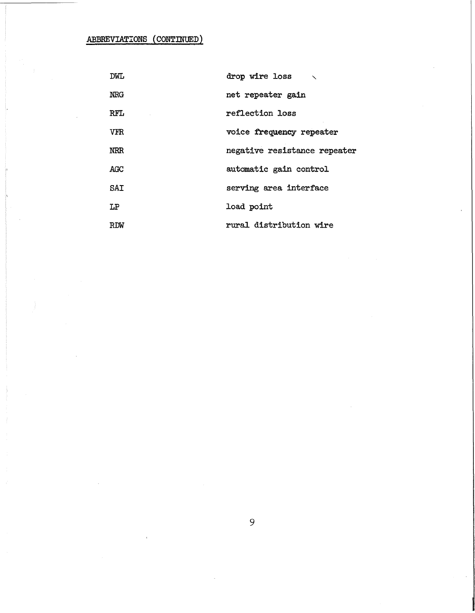ABBREVIATIONS (CONTINUED)

| DWL        | drop wire loss $\sim$        |
|------------|------------------------------|
| <b>NRG</b> | net repeater gain            |
| <b>RFL</b> | reflection loss              |
| <b>VFR</b> | voice frequency repeater     |
| <b>NRR</b> | negative resistance repeater |
| AGC        | automatic gain control       |
| SAI        | serving area interface       |
| LP         | load point                   |
| RDW        | rural distribution wire      |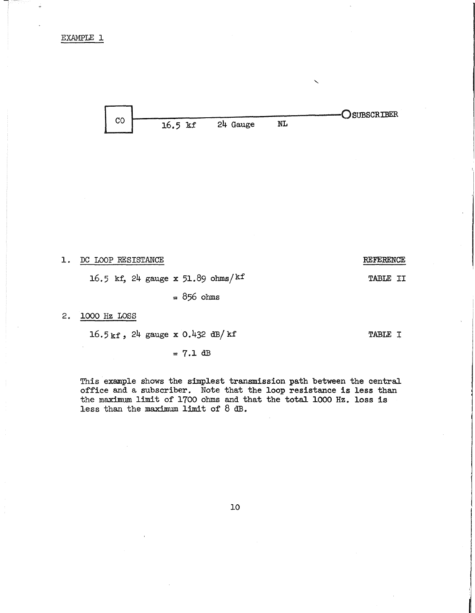

1. DC LOOP RESISTANCE

16.5 kf,  $24$  gauge x  $51.89$  ohms/kf

= 856 ohms

# 2. 1000 Hz LOSS

 $16.5 \text{ kf}$ , 24 gauge x 0.432 dB/kf

 $= 7.1$  dB

This example shows the simplest transmission path between the central office and a subscriber. Note that the loop resistance is less than the maximum limit of 1700 ohms and that the totaJ. 1000 Hz. loss is less than the maximum limit of 8 dB.

10

REFERENCE

TABLE II

TABLE I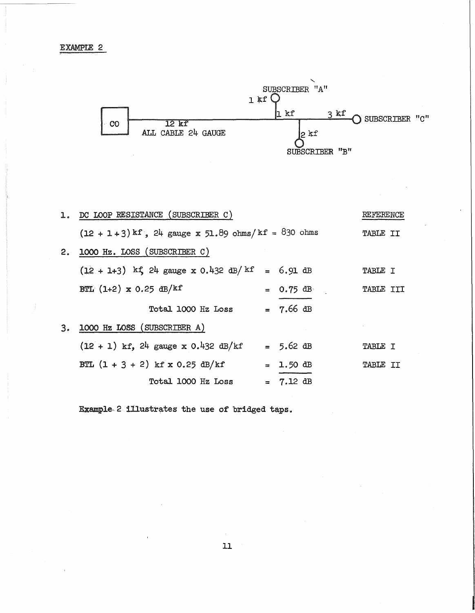

|                | 1. DC LOOP RESISTANCE (SUBSCRIBER C)                     | REFERENCE           |                 |  |
|----------------|----------------------------------------------------------|---------------------|-----------------|--|
|                | $(12 + 1 + 3)$ kf, $24$ gauge x 51.89 ohms/kf = 830 ohms |                     | <b>TABLE II</b> |  |
| 2.             | 1000 Hz. LOSS (SUBSCRIBER C)                             |                     |                 |  |
|                | $(12 + 1 + 3)$ kf, 24 gauge x 0.432 dB/kf = 6.91 dB      |                     | <b>TABLE I</b>  |  |
|                | BTL $(1+2)$ x 0.25 dB/kf                                 | $= 0.75$ dB         | TABLE III       |  |
|                | Total 1000 Hz Loss                                       | $= 7.66$ dB         |                 |  |
| 3 <sub>o</sub> | 1000 Hz LOSS (SUBSCRIBER A)                              |                     |                 |  |
|                | $(12 + 1)$ kf, 24 gauge x 0.432 dB/kf                    | $= 5.62 \text{ dB}$ | TABLE I         |  |
|                | BTL $(1 + 3 + 2)$ kf x 0.25 dB/kf                        | $= 1.50 \text{ dB}$ | TABLE II        |  |
|                | Total 1000 Hz Loss                                       | $= 7.12$ dB         |                 |  |

Example, 2 illustrates the use of bridged taps.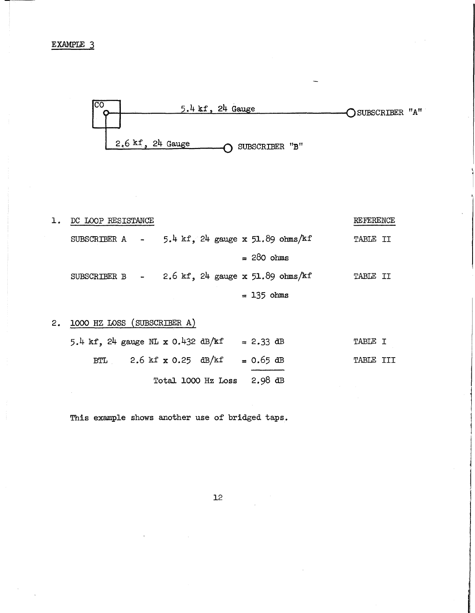

| ı. | DC LOOP RESISTANCE |                                                   | REFERENCE       |
|----|--------------------|---------------------------------------------------|-----------------|
|    |                    | SUBSCRIBER A $-$ 5.4 kf, 24 gauge x 51.89 ohms/kf | <b>TABLE II</b> |
|    |                    | $= 280 \text{ ohms}$                              |                 |
|    |                    | SUBSCRIBER B $-$ 2.6 kf, 24 gauge x 51.89 ohms/kf | <b>TABLE II</b> |
|    |                    | $= 135$ ohms                                      |                 |

2. **1000** HZ LOSS (SUBSCRIBER A)

| BTL 2.6 kf x 0.25 dB/kf = $0.65$ dB | TABLE III |
|-------------------------------------|-----------|
| Total 1000 Hz Loss $2.98$ dB        |           |

This example shows another use of bridged taps.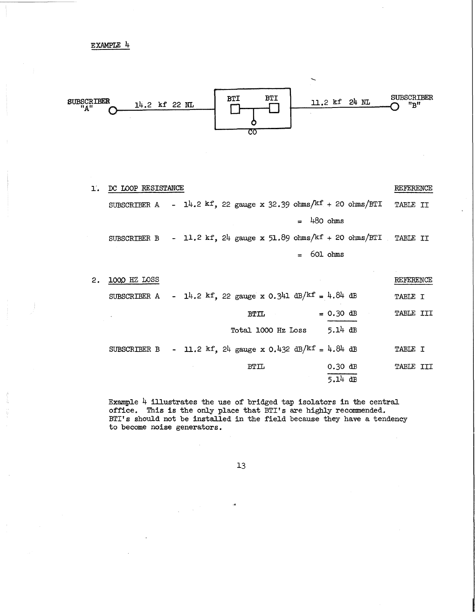

| ľ. | DC LOOP RESISTANCE |                                                                                                      | REFERENCE        |
|----|--------------------|------------------------------------------------------------------------------------------------------|------------------|
|    |                    | SUBSCRIBER A - $14.2 \text{ kf}$ , 22 gauge x 32.39 ohms/ $\frac{\text{kf}}{\text{k}}$ + 20 ohms/BTI | TABLE II         |
|    |                    | $=$ 480 ohms                                                                                         |                  |
|    |                    | SUBSCRIBER B - 11.2 kf, $24$ gauge x 51.89 ohms/kf + 20 ohms/BTI TABLE II                            |                  |
|    |                    | 601 ohms<br>$=$                                                                                      |                  |
|    |                    |                                                                                                      |                  |
| 2. | 1000 HZ LOSS       |                                                                                                      | REFERENCE        |
|    |                    | SUBSCRIBER A - 14.2 kf, 22 gauge x 0.341 dB/kf = 4.84 dB                                             | TABLE I          |
|    |                    | $= 0.30 \text{ dB}$<br>BTIL                                                                          | <b>TABLE III</b> |
|    |                    | $5.14$ dB<br>Total 1000 Hz Loss                                                                      |                  |
|    | SUBSCRIBER B       | - 11.2 kf, 24 gauge x 0.432 dB/kf = 4.84 dB                                                          | TABLE I          |
|    |                    | $0.30$ dB<br><b>BTIL</b>                                                                             | <b>TABLE III</b> |
|    |                    | $5.14$ dB                                                                                            |                  |

Example  $4$  illustrates the use of bridged tap isolators in the central office. This is the only place that BTI's are highly recommended. BTI's should not be installed in the field because they have a tendency to become noise generators.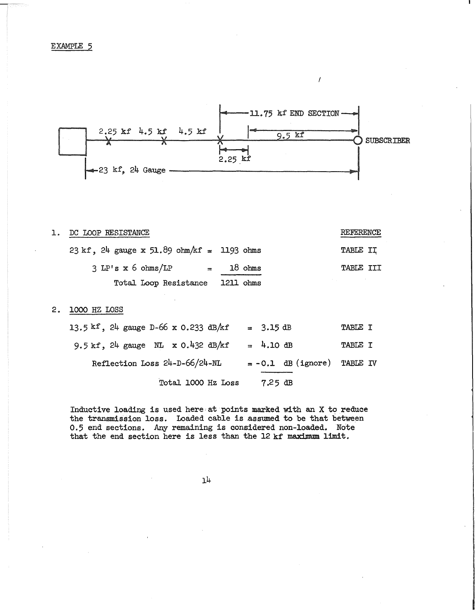

 $\overline{1}$ 

| 1. DC LOOP RESISTANCE                                                            |             | REFERENCE        |
|----------------------------------------------------------------------------------|-------------|------------------|
| $23 \text{ kf}$ , $24 \text{ gauge } x 51.89 \text{ ohm/kf} = 1193 \text{ ohms}$ |             | TABLE II         |
| $3$ LP's $x$ 6 ohms/LP                                                           | $=$ 18 ohms | <b>TABLE III</b> |
| Total Loop Resistance 1211 ohms                                                  |             |                  |

# 2 • **1000** HZ LOSS

| Total 1000 Hz Loss                                            | $7.25$ dB                     |                |
|---------------------------------------------------------------|-------------------------------|----------------|
| Reflection Loss 24-D-66/24-NL                                 | $= -0.1$ dB (ignore) TABLE IV |                |
| $9.5 \text{ kf}, 24 \text{ gauge}$ NL $x 0.432 \text{ dB/kf}$ | $= 4.10 \text{ dB}$           | TABLE I        |
| 13.5 kf, 24 gauge D-66 x 0.233 dB/kf                          | $= 3.15$ dB                   | <b>TABLE I</b> |

Inductive loading is used here at points marked with an  $X$  to reduce the transmission loss. Loaded cable is assumed to be that between 0.5 end sections. Any remaining is considered non-loaded. Note that the end section here is less than the 12 kf maximum limit.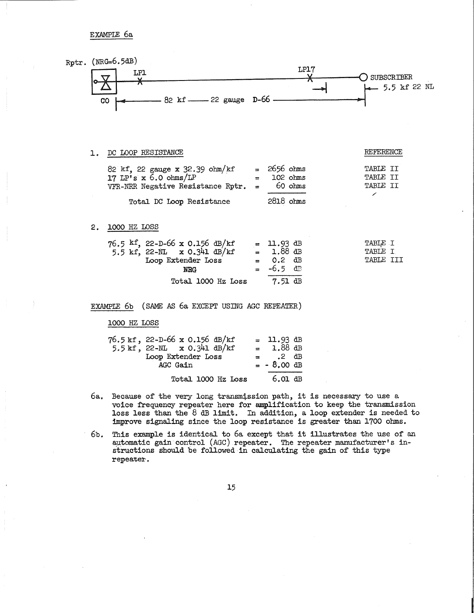EXAMPLE 6a

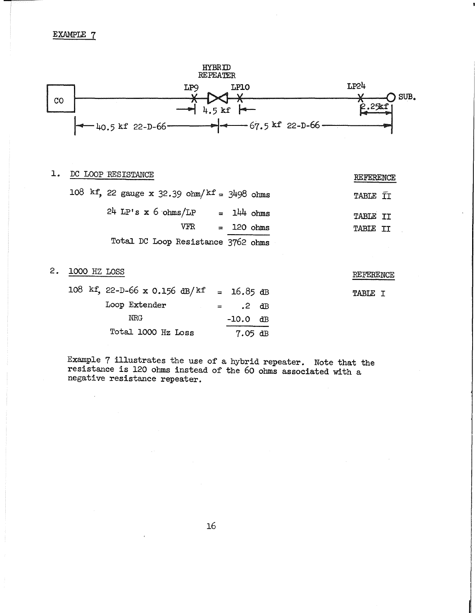

# 1. DC LOOP RESISTANCE REFERENCE

|  | 108 kf, 22 gauge x 32.39 ohm/kf = 3498 ohms |  |              | TABLE II        |  |
|--|---------------------------------------------|--|--------------|-----------------|--|
|  | $24$ LP's x 6 ohms/LP = $144$ ohms          |  |              | <b>TABLE II</b> |  |
|  | VFR.                                        |  | $= 120 ohms$ | TABLE II        |  |
|  | Total DC Loop Resistance 3762 ohms          |  |              |                 |  |

# 2. 1000 HZ LOSS

 $\ddot{\phantom{a}}$ 

| 108 kf, 22-D-66 x 0.156 dB/kf = 16.85 dB |                   |            |  |
|------------------------------------------|-------------------|------------|--|
| Loop Extender                            | $\equiv$ $\equiv$ | $.2$ dB    |  |
| NRG                                      |                   | $-10.0$ dB |  |
| Total 1000 Hz Loss                       |                   | $7.05$ dB  |  |

Example 7 illustrates the use of a hybrid repeater. Note that the resistance is 120 ohms instead of the 60 ohms associated with a negative resistance repeater.

REFERENCE

TABLE I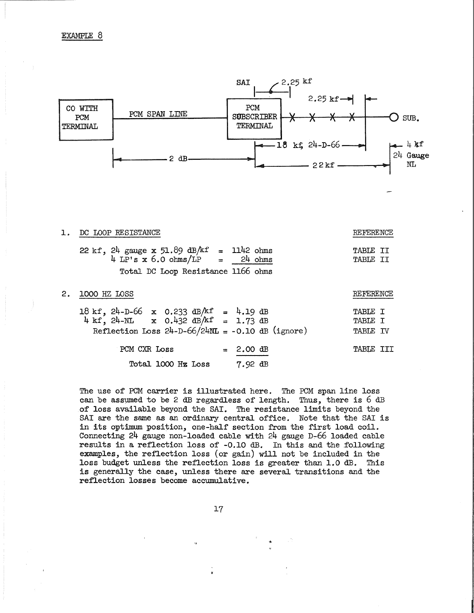

The use of PCM carrier is illustrated here. The PCM span line loss can be assumed to be 2 dB regardless of length. Thus, there is 6 dB of' loss available beyond the SAI. The resistance limits beyond the SAI are the same as an ordinary central office. Note that the SAI is in its optimum position, one-half section from the first load coil. Connecting 24 gauge non-loaded cable with 24 gauge D-66 loaded cable results in a reflection loss of' -0.10 dB. In this and the following examples, the reflection loss (or gain) will not be included in the loss budget unless the reflection loss is greater than 1.0 dB. This is generally the case, unless there are several transitions and the reflection losses become accumulative.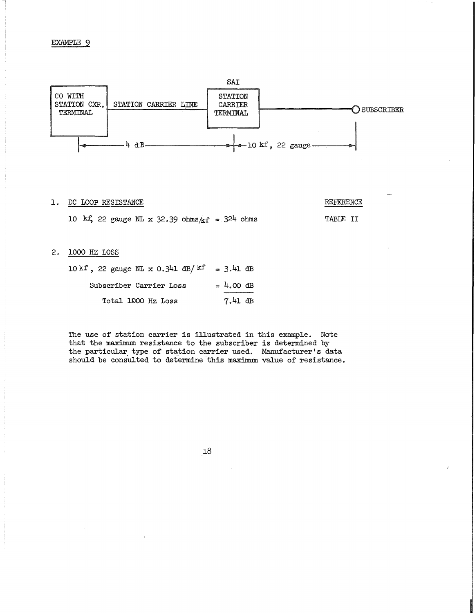

### 1. DC LOOP RESISTANCE REFERENCE

10 kf, 22 gauge NL x 32.39 ohms $/kf = 324$  ohms TABLE II

### 2. 1000 HZ LOSS

| 10 kf, 22 gauge NL x 0.341 dB/ <sup>kf'</sup> = 3.41 dB |             |  |
|---------------------------------------------------------|-------------|--|
| Subscriber Carrier Loss                                 | $= 4.00$ dB |  |
| Total 1000 Hz Loss                                      | $7.41$ dB   |  |

The use of station carrier is illustrated in this example. Note that the maximum resistance to the subscriber is determined by the particular type of station carrier used. Manufacturer's data should be consulted to determine this maximum value of resistance.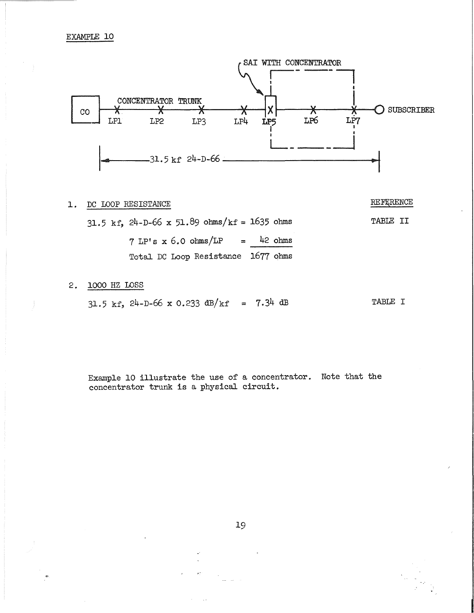

# 1. DC LOOP RESISTANCE REFURENCE

31.5 kf,  $24-D-66$  x 51.89 ohms/kf = 1635 ohms TABLE II  $7 LP's x 6.0 ohms/LP = 42 ohms$ Total DC Loop Resistance 1677 ohms

# 2. 1000 HZ LOSS

 $31.5$  kf,  $24-D-66$  x 0.233 dB/kf = 7.34 dB TABLE I

Example 10 illustrate the use of a concentrator. Note that the concentrator trunk is a physical circuit.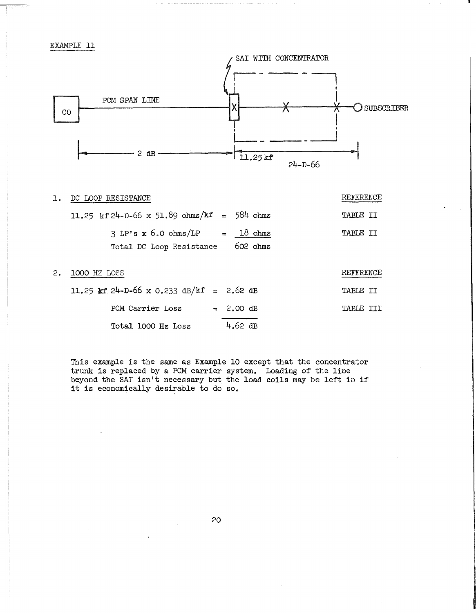

| $\mathbf{1}$ . | DC LOOP RESISTANCE                                           |          | REFERENCE       |
|----------------|--------------------------------------------------------------|----------|-----------------|
|                | 11.25 kf 24-D-66 x 51.89 ohms/kf = 584 ohms                  |          | TABLE II        |
|                | $3 LP's x 6.0 ohms/LP = 18 ohms$<br>Total DC Loop Resistance | 602 ohms | <b>TABLE II</b> |
|                |                                                              |          |                 |

| 2. 1000 HZ LOSS                          |                     | REFERENCE |  |
|------------------------------------------|---------------------|-----------|--|
| 11.25 kf 24-D-66 x 0.233 dB/kf = 2.62 dB |                     | TABLE II  |  |
| PCM Carrier Loss                         | $= 2.00 \text{ dB}$ | TABLE TTI |  |
| Total 1000 Hz Loss                       | $4.62$ dB           |           |  |

This example is the same as Example 10 except that the concentrator trunk is replaced by a PCM carrier system. Loading of the line beyond the SAI isn't necessary but the load coils may be left in if it is economically desirable to do so.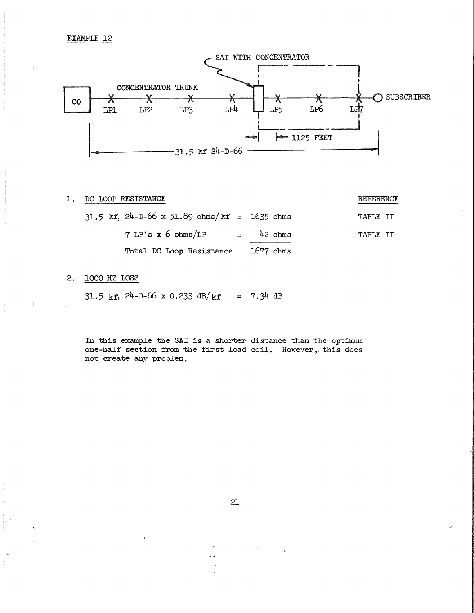

1. DC LOOP RESISTANCE REFERENCE

|  | $31.5$ kf, $24-D-66$ x $51.89$ ohms/kf = 1635 ohms |             | TABLE TT |  |
|--|----------------------------------------------------|-------------|----------|--|
|  | $7$ LP's $x$ 6 ohms/LP                             | $=$ 42 ohms | TABLE II |  |
|  | Total DC Loop Resistance                           | $1677$ ohms |          |  |

# 2. 1000 HZ LOSS

 $31.5$  kf,  $24-D-66$  x 0.233 dB/kf = 7.34 dB

In this example the SAI is a shorter distance than the optimum one-half section from the first load coil. However, this does not create any problem.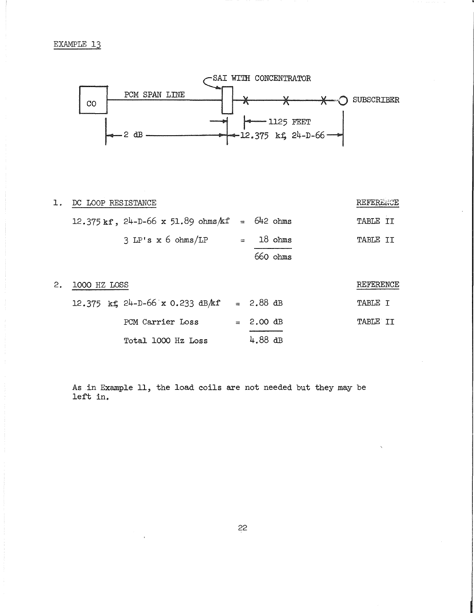

| 1. | DC LOOP RESISTANCE                                  |           | REFERENCE |
|----|-----------------------------------------------------|-----------|-----------|
|    | $12.375$ kf, $24-D-66$ x 51.89 ohms $kf = 642$ ohms |           | TABLE II  |
|    | 3 LP's x 6 ohms/LP                                  | $18$ ohms | TABLE II  |
|    |                                                     | 660 ohms  |           |
| 2. | 1000 HZ LOSS                                        |           | REFERENCE |

| 12.375 kf $24-D-66$ x 0.233 dB/kf = 2.88 dB |                     | TABLE T  |  |
|---------------------------------------------|---------------------|----------|--|
| PCM Carrier Loss                            | $= 2.00 \text{ dB}$ | TABLE TT |  |
| Total 1000 Hz Loss                          | $4.88$ dB           |          |  |

As in Example 11, the load coils are not needed but they may be left in.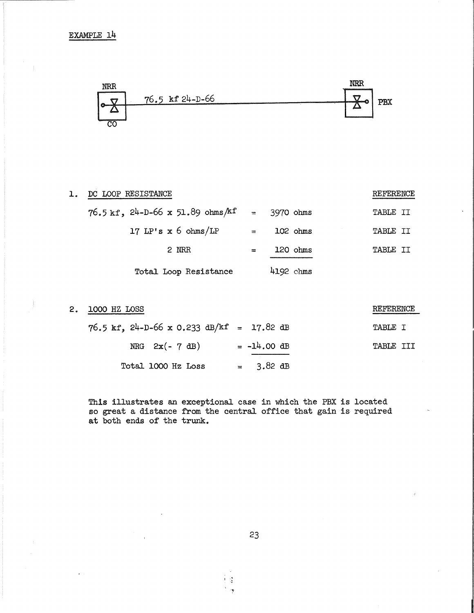

| DC LOOP RESISTANCE                     |     |               | REFERENCE       |
|----------------------------------------|-----|---------------|-----------------|
| $76.5$ kf, $24-D-66$ x 51.89 ohms/kf = |     | 3970 ohms     | TABLE II        |
| 17 LP's $x$ 6 ohms/LP                  | $=$ | 102 ohms      | <b>TABLE II</b> |
| 2 NRR                                  | $=$ | $120 \; ohms$ | <b>TABLE II</b> |
| Total Loop Resistance                  |     | 4192 chms     |                 |

| 2. 1000 HZ LOSS                             |                     | REFERENCE |
|---------------------------------------------|---------------------|-----------|
| $76.5$ kf, 24-D-66 x 0.233 dB/kf = 17.82 dB |                     | TABLE I   |
| NRG $2x(-7 dB)$                             | $= -14.00$ dB       | TABLE III |
| Total 1000 Hz Loss                          | $= 3.82 \text{ dB}$ |           |

This illustrates an exceptional case in which the PBX is located so great a distance from the central office that gain is required at both ends of the trunk.

23

一度  $\gamma$